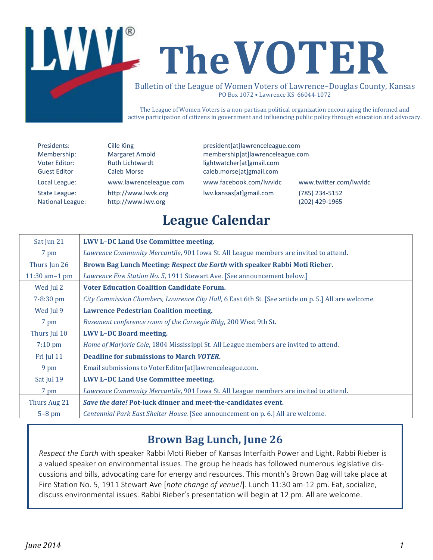

The League of Women Voters is a non-partisan political organization encouraging the informed and active participation of citizens in government and influencing public policy through education and advocacy.

Presidents: Cille King president[at]lawrenceleague.com Membership: Margaret Arnold membership[at]lawrenceleague.com Voter Editor: Ruth Lichtwardt lightwatcher[at]gmail.com Guest Editor Caleb Morse caleb.morse[at]gmail.com Local League: www.lawrenceleague.com [www.facebook.com/lwvldc](http://www.facebook.com/lwvldc) www.twitter.com/lwvldc State League: [http://www.lwvk.org](http://www.lwvk.org/) lwv.kansas[at]gmail.com (785) 234-5152 National League: [http://www.lwv.org](http://www.lwv.org/) (202) 429-1965

# **League Calendar**

| Sat Jun 21        | <b>LWV L-DC Land Use Committee meeting.</b>                                                          |  |
|-------------------|------------------------------------------------------------------------------------------------------|--|
| 7 pm              | Lawrence Community Mercantile, 901 Iowa St. All League members are invited to attend.                |  |
| Thurs Jun 26      | Brown Bag Lunch Meeting: Respect the Earth with speaker Rabbi Moti Rieber.                           |  |
| $11:30$ am-1 pm   | Lawrence Fire Station No. 5, 1911 Stewart Ave. [See announcement below.]                             |  |
| Wed Jul 2         | <b>Voter Education Coalition Candidate Forum.</b>                                                    |  |
| 7-8:30 pm         | City Commission Chambers, Lawrence City Hall, 6 East 6th St. [See article on p. 5.] All are welcome. |  |
| Wed Jul 9         | <b>Lawrence Pedestrian Coalition meeting.</b>                                                        |  |
| 7 pm              | Basement conference room of the Carnegie Bldg, 200 West 9th St.                                      |  |
| Thurs Jul 10      | <b>LWV L-DC Board meeting.</b>                                                                       |  |
| $7:10 \text{ pm}$ | Home of Marjorie Cole, 1804 Mississippi St. All League members are invited to attend.                |  |
| Fri Jul 11        | <b>Deadline for submissions to March VOTER.</b>                                                      |  |
| 9 pm              | Email submissions to VoterEditor[at]lawrenceleague.com.                                              |  |
| Sat Jul 19        | <b>LWV L-DC Land Use Committee meeting.</b>                                                          |  |
| 7 pm              | <i>Lawrence Community Mercantile,</i> 901 Iowa St. All League members are invited to attend.         |  |
| Thurs Aug 21      | Save the date! Pot-luck dinner and meet-the-candidates event.                                        |  |
| $5-8$ pm          | Centennial Park East Shelter House. [See announcement on p. 6.] All are welcome.                     |  |
|                   |                                                                                                      |  |

### **Brown Bag Lunch, June 26**

*Respect the Earth* with speaker Rabbi Moti Rieber of Kansas Interfaith Power and Light. Rabbi Rieber is a valued speaker on environmental issues. The group he heads has followed numerous legislative discussions and bills, advocating care for energy and resources. This month's Brown Bag will take place at Fire Station No. 5, 1911 Stewart Ave [*note change of venue!*]. Lunch 11:30 am-12 pm. Eat, socialize, discuss environmental issues. Rabbi Rieber's presentation will begin at 12 pm. All are welcome.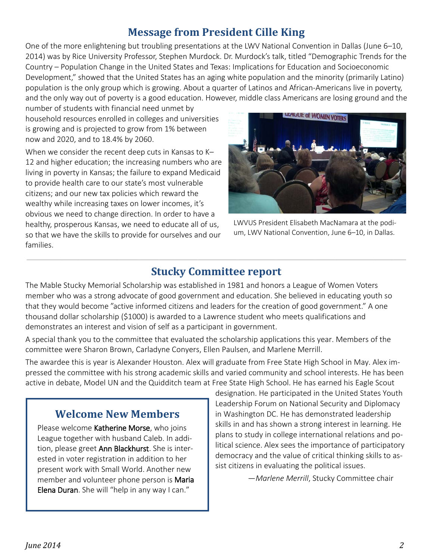### **Message from President Cille King**

One of the more enlightening but troubling presentations at the LWV National Convention in Dallas (June 6–10, 2014) was by Rice University Professor, Stephen Murdock. Dr. Murdock's talk, titled "Demographic Trends for the Country – Population Change in the United States and Texas: Implications for Education and Socioeconomic Development," showed that the United States has an aging white population and the minority (primarily Latino) population is the only group which is growing. About a quarter of Latinos and African-Americans live in poverty, and the only way out of poverty is a good education. However, middle class Americans are losing ground and the

number of students with financial need unmet by household resources enrolled in colleges and universities is growing and is projected to grow from 1% between now and 2020, and to 18.4% by 2060.

When we consider the recent deep cuts in Kansas to K– 12 and higher education; the increasing numbers who are living in poverty in Kansas; the failure to expand Medicaid to provide health care to our state's most vulnerable citizens; and our new tax policies which reward the wealthy while increasing taxes on lower incomes, it's obvious we need to change direction. In order to have a healthy, prosperous Kansas, we need to educate all of us, so that we have the skills to provide for ourselves and our families.



LWVUS President Elisabeth MacNamara at the podium, LWV National Convention, June 6–10, in Dallas.

#### \_\_\_\_\_\_\_\_\_\_\_\_\_\_\_\_\_\_\_\_\_\_\_\_\_\_\_\_\_\_\_\_\_\_\_\_\_\_\_\_\_\_\_\_\_\_\_\_\_\_\_\_\_\_\_\_\_\_\_\_\_\_\_\_\_\_\_\_\_\_\_\_\_\_\_\_\_\_\_\_\_\_\_\_\_\_\_\_\_\_\_\_\_\_\_\_\_\_\_\_\_\_\_\_\_\_\_\_\_\_\_\_\_\_\_\_\_\_\_\_\_\_\_\_\_\_\_\_\_\_\_\_\_\_\_\_\_\_\_\_\_\_\_\_\_\_\_\_\_\_\_\_\_\_\_\_\_\_\_\_\_\_\_\_\_\_\_\_\_\_\_\_\_\_\_\_\_\_\_\_\_\_\_\_\_\_\_\_\_\_\_\_\_\_\_\_\_\_\_\_\_\_\_\_\_\_\_\_\_\_\_\_\_ **Stucky Committee report**

The Mable Stucky Memorial Scholarship was established in 1981 and honors a League of Women Voters member who was a strong advocate of good government and education. She believed in educating youth so that they would become "active informed citizens and leaders for the creation of good government." A one thousand dollar scholarship (\$1000) is awarded to a Lawrence student who meets qualifications and demonstrates an interest and vision of self as a participant in government.

A special thank you to the committee that evaluated the scholarship applications this year. Members of the committee were Sharon Brown, Carladyne Conyers, Ellen Paulsen, and Marlene Merrill.

The awardee this is year is Alexander Houston. Alex will graduate from Free State High School in May. Alex impressed the committee with his strong academic skills and varied community and school interests. He has been active in debate, Model UN and the Quidditch team at Free State High School. He has earned his Eagle Scout

### **Welcome New Members**

Please welcome Katherine Morse, who joins League together with husband Caleb. In addition, please greet Ann Blackhurst. She is interested in voter registration in addition to her present work with Small World. Another new member and volunteer phone person is Maria Elena Duran. She will "help in any way I can."

designation. He participated in the United States Youth Leadership Forum on National Security and Diplomacy in Washington DC. He has demonstrated leadership skills in and has shown a strong interest in learning. He plans to study in college international relations and political science. Alex sees the importance of participatory democracy and the value of critical thinking skills to assist citizens in evaluating the political issues.

—*Marlene Merrill*, Stucky Committee chair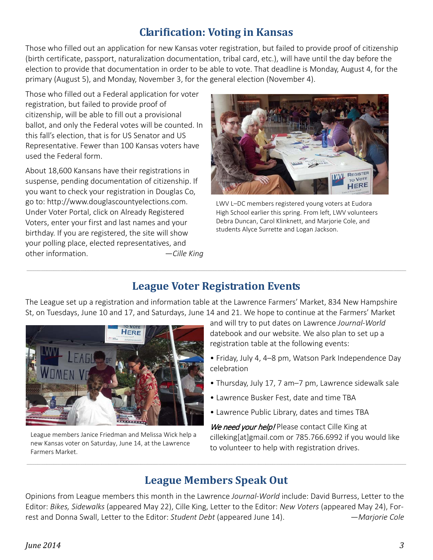### **Clarification: Voting in Kansas**

Those who filled out an application for new Kansas voter registration, but failed to provide proof of citizenship (birth certificate, passport, naturalization documentation, tribal card, etc.), will have until the day before the election to provide that documentation in order to be able to vote. That deadline is Monday, August 4, for the primary (August 5), and Monday, November 3, for the general election (November 4).

Those who filled out a Federal application for voter registration, but failed to provide proof of citizenship, will be able to fill out a provisional ballot, and only the Federal votes will be counted. In this fall's election, that is for US Senator and US Representative. Fewer than 100 Kansas voters have used the Federal form.

About 18,600 Kansans have their registrations in suspense, pending documentation of citizenship. If you want to check your registration in Douglas Co, go to: [http://www.douglascountyelections.com.](http://www.douglascountyelections.com/) Under Voter Portal, click on Already Registered Voters, enter your first and last names and your birthday. If you are registered, the site will show your polling place, elected representatives, and other information. —*Cille King*



LWV L–DC members registered young voters at Eudora High School earlier this spring. From left, LWV volunteers Debra Duncan, Carol Klinknett, and Marjorie Cole, and students Alyce Surrette and Logan Jackson.

### **League Voter Registration Events**

\_\_\_\_\_\_\_\_\_\_\_\_\_\_\_\_\_\_\_\_\_\_\_\_\_\_\_\_\_\_\_\_\_\_\_\_\_\_\_\_\_\_\_\_\_\_\_\_\_\_\_\_\_\_\_\_\_\_\_\_\_\_\_\_\_\_\_\_\_\_\_\_\_\_\_\_\_\_\_\_\_\_\_\_\_\_\_\_\_\_\_\_\_\_\_\_\_\_\_\_\_\_\_\_\_\_\_\_\_\_\_\_\_\_\_\_\_\_\_\_\_\_\_\_\_\_\_\_\_\_\_\_\_\_\_\_\_\_\_\_\_\_\_\_\_\_\_\_\_\_\_\_\_\_\_\_\_\_\_\_\_\_\_\_\_\_\_\_\_\_\_\_\_\_\_\_\_\_\_\_\_\_\_\_\_\_\_\_\_\_\_\_\_\_\_\_\_\_\_\_\_\_\_\_\_\_\_\_\_\_\_\_\_

The League set up a registration and information table at the Lawrence Farmers' Market, 834 New Hampshire St, on Tuesdays, June 10 and 17, and Saturdays, June 14 and 21. We hope to continue at the Farmers' Market



League members Janice Friedman and Melissa Wick help a new Kansas voter on Saturday, June 14, at the Lawrence Farmers Market.

and will try to put dates on Lawrence *Journal-World* datebook and our website. We also plan to set up a registration table at the following events:

- Friday, July 4, 4–8 pm, Watson Park Independence Day celebration
- Thursday, July 17, 7 am–7 pm, Lawrence sidewalk sale
- Lawrence Busker Fest, date and time TBA
- Lawrence Public Library, dates and times TBA

We need your help! Please contact Cille King at [cilleking\[at\]gmail.com](mailto:cilleking@gmail.com) or 785.766.6992 if you would like to volunteer to help with registration drives.

### **League Members Speak Out**

\_\_\_\_\_\_\_\_\_\_\_\_\_\_\_\_\_\_\_\_\_\_\_\_\_\_\_\_\_\_\_\_\_\_\_\_\_\_\_\_\_\_\_\_\_\_\_\_\_\_\_\_\_\_\_\_\_\_\_\_\_\_\_\_\_\_\_\_\_\_\_\_\_\_\_\_\_\_\_\_\_\_\_\_\_\_\_\_\_\_\_\_\_\_\_\_\_\_\_\_\_\_\_\_\_\_\_\_\_\_\_\_\_\_\_\_\_\_\_\_\_\_\_\_\_\_\_\_\_\_\_\_\_\_\_\_\_\_\_\_\_\_\_\_\_\_\_\_\_\_\_\_\_\_\_\_\_\_\_\_\_\_\_\_\_\_\_\_\_\_\_\_\_\_\_\_\_\_\_\_\_\_\_\_\_\_\_\_\_\_\_\_\_\_\_\_\_\_\_\_\_\_\_\_\_\_\_\_\_\_\_\_\_

Opinions from League members this month in the Lawrence *Journal-World* include: David Burress, Letter to the Editor: *Bikes, Sidewalks* (appeared May 22), Cille King, Letter to the Editor: *New Voters* (appeared May 24), Forrest and Donna Swall, Letter to the Editor: *Student Debt* (appeared June 14). *—Marjorie Cole*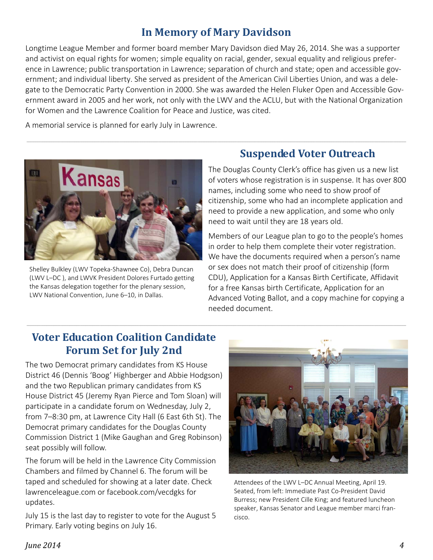### **In Memory of Mary Davidson**

Longtime League Member and former board member Mary Davidson died May 26, 2014. She was a supporter and activist on equal rights for women; simple equality on racial, gender, sexual equality and religious preference in Lawrence; public transportation in Lawrence; separation of church and state; open and accessible government; and individual liberty. She served as president of the American Civil Liberties Union, and was a delegate to the Democratic Party Convention in 2000. She was awarded the Helen Fluker Open and Accessible Government award in 2005 and her work, not only with the LWV and the ACLU, but with the National Organization for Women and the Lawrence Coalition for Peace and Justice, was cited.

\_\_\_\_\_\_\_\_\_\_\_\_\_\_\_\_\_\_\_\_\_\_\_\_\_\_\_\_\_\_\_\_\_\_\_\_\_\_\_\_\_\_\_\_\_\_\_\_\_\_\_\_\_\_\_\_\_\_\_\_\_\_\_\_\_\_\_\_\_\_\_\_\_\_\_\_\_\_\_\_\_\_\_\_\_\_\_\_\_\_\_\_\_\_\_\_\_\_\_\_\_\_\_\_\_\_\_\_\_\_\_\_\_\_\_\_\_\_\_\_\_\_\_\_\_\_\_\_\_\_\_\_\_\_\_\_\_\_\_\_\_\_\_\_\_\_\_\_\_\_\_\_\_\_\_\_\_\_\_\_\_\_\_\_\_\_\_\_\_\_\_\_\_\_\_\_\_\_\_\_\_\_\_\_\_\_\_\_\_\_\_\_\_\_\_\_\_\_\_\_\_\_\_\_\_\_\_\_\_\_\_\_\_

\_\_\_\_\_\_\_\_\_\_\_\_\_\_\_\_\_\_\_\_\_\_\_\_\_\_\_\_\_\_\_\_\_\_\_\_\_\_\_\_\_\_\_\_\_\_\_\_\_\_\_\_\_\_\_\_\_\_\_\_\_\_\_\_\_\_\_\_\_\_\_\_\_\_\_\_\_\_\_\_\_\_\_\_\_\_\_\_\_\_\_\_\_\_\_\_\_\_\_\_\_\_\_\_\_\_\_\_\_\_\_\_\_\_\_\_\_\_\_\_\_\_\_\_\_\_\_\_\_\_\_\_\_\_\_\_\_\_\_\_\_\_\_\_\_\_\_\_\_\_\_\_\_\_\_\_\_\_\_\_\_\_\_\_\_\_\_\_\_\_\_\_\_\_\_\_\_\_\_\_\_\_\_\_\_\_\_\_\_\_\_\_\_\_\_\_\_\_\_\_\_\_\_\_\_\_\_\_\_\_\_\_\_

A memorial service is planned for early July in Lawrence.



Shelley Bulkley (LWV Topeka-Shawnee Co), Debra Duncan (LWV L–DC ), and LWVK President Dolores Furtado getting the Kansas delegation together for the plenary session, LWV National Convention, June 6–10, in Dallas.

### **Suspended Voter Outreach**

The Douglas County Clerk's office has given us a new list of voters whose registration is in suspense. It has over 800 names, including some who need to show proof of citizenship, some who had an incomplete application and need to provide a new application, and some who only need to wait until they are 18 years old.

Members of our League plan to go to the people's homes in order to help them complete their voter registration. We have the documents required when a person's name or sex does not match their proof of citizenship (form CDU), Application for a Kansas Birth Certificate, Affidavit for a free Kansas birth Certificate, Application for an Advanced Voting Ballot, and a copy machine for copying a needed document.

### **Voter Education Coalition Candidate Forum Set for July 2nd**

The two Democrat primary candidates from KS House District 46 (Dennis 'Boog' Highberger and Abbie Hodgson) and the two Republican primary candidates from KS House District 45 (Jeremy Ryan Pierce and Tom Sloan) will participate in a candidate forum on Wednesday, July 2, from 7–8:30 pm, at Lawrence City Hall (6 East 6th St). The Democrat primary candidates for the Douglas County Commission District 1 (Mike Gaughan and Greg Robinson) seat possibly will follow.

The forum will be held in the Lawrence City Commission Chambers and filmed by Channel 6. The forum will be taped and scheduled for showing at a later date. Check lawrenceleague.com or facebook.com/vecdgks for updates.

July 15 is the last day to register to vote for the August 5 Primary. Early voting begins on July 16.



Attendees of the LWV L–DC Annual Meeting, April 19. Seated, from left: Immediate Past Co-President David Burress; new President Cille King; and featured luncheon speaker, Kansas Senator and League member marci francisco.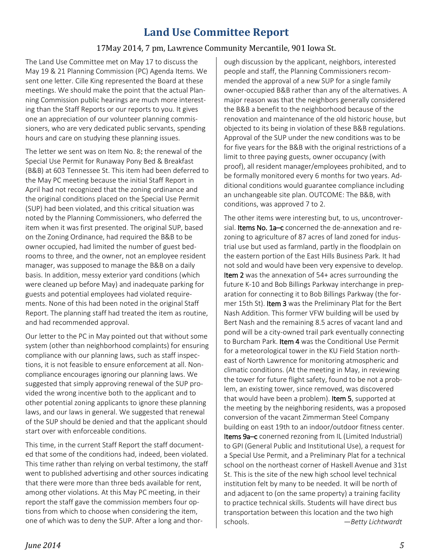### **Land Use Committee Report**

#### 17May 2014, 7 pm, Lawrence Community Mercantile, 901 Iowa St.

The Land Use Committee met on May 17 to discuss the May 19 & 21 Planning Commission (PC) Agenda Items. We sent one letter. Cille King represented the Board at these meetings. We should make the point that the actual Planning Commission public hearings are much more interesting than the Staff Reports or our reports to you. It gives one an appreciation of our volunteer planning commissioners, who are very dedicated public servants, spending hours and care on studying these planning issues.

The letter we sent was on Item No. 8: the renewal of the Special Use Permit for Runaway Pony Bed & Breakfast (B&B) at 603 Tennessee St. This item had been deferred to the May PC meeting because the initial Staff Report in April had not recognized that the zoning ordinance and the original conditions placed on the Special Use Permit (SUP) had been violated, and this critical situation was noted by the Planning Commissioners, who deferred the item when it was first presented. The original SUP, based on the Zoning Ordinance, had required the B&B to be owner occupied, had limited the number of guest bedrooms to three, and the owner, not an employee resident manager, was supposed to manage the B&B on a daily basis. In addition, messy exterior yard conditions (which were cleaned up before May) and inadequate parking for guests and potential employees had violated requirements. None of this had been noted in the original Staff Report. The planning staff had treated the item as routine, and had recommended approval.

Our letter to the PC in May pointed out that without some system (other than neighborhood complaints) for ensuring compliance with our planning laws, such as staff inspections, it is not feasible to ensure enforcement at all. Noncompliance encourages ignoring our planning laws. We suggested that simply approving renewal of the SUP provided the wrong incentive both to the applicant and to other potential zoning applicants to ignore these planning laws, and our laws in general. We suggested that renewal of the SUP should be denied and that the applicant should start over with enforceable conditions.

This time, in the current Staff Report the staff documented that some of the conditions had, indeed, been violated. This time rather than relying on verbal testimony, the staff went to published advertising and other sources indicating that there were more than three beds available for rent, among other violations. At this May PC meeting, in their report the staff gave the commission members four options from which to choose when considering the item, one of which was to deny the SUP. After a long and thorough discussion by the applicant, neighbors, interested people and staff, the Planning Commissioners recommended the approval of a new SUP for a single family owner-occupied B&B rather than any of the alternatives. A major reason was that the neighbors generally considered the B&B a benefit to the neighborhood because of the renovation and maintenance of the old historic house, but objected to its being in violation of these B&B regulations. Approval of the SUP under the new conditions was to be for five years for the B&B with the original restrictions of a limit to three paying guests, owner occupancy (with proof), all resident manager/employees prohibited, and to be formally monitored every 6 months for two years. Additional conditions would guarantee compliance including an unchangeable site plan. OUTCOME: The B&B, with conditions, was approved 7 to 2.

The other items were interesting but, to us, uncontroversial. Items No. 1a–c concerned the de-annexation and rezoning to agriculture of 87 acres of land zoned for industrial use but used as farmland, partly in the floodplain on the eastern portion of the East Hills Business Park. It had not sold and would have been very expensive to develop. Item 2 was the annexation of 54+ acres surrounding the future K-10 and Bob Billings Parkway interchange in preparation for connecting it to Bob Billings Parkway (the former 15th St). Item 3 was the Preliminary Plat for the Bert Nash Addition. This former VFW building will be used by Bert Nash and the remaining 8.5 acres of vacant land and pond will be a city-owned trail park eventually connecting to Burcham Park. Item 4 was the Conditional Use Permit for a meteorological tower in the KU Field Station northeast of North Lawrence for monitoring atmospheric and climatic conditions. (At the meeting in May, in reviewing the tower for future flight safety, found to be not a problem, an existing tower, since removed, was discovered that would have been a problem). Item 5, supported at the meeting by the neighboring residents, was a proposed conversion of the vacant Zimmerman Steel Company building on east 19th to an indoor/outdoor fitness center. Items 9a–c conerned rezoning from IL (Limited Industrial) to GPI (General Public and Institutional Use), a request for a Special Use Permit, and a Preliminary Plat for a technical school on the northeast corner of Haskell Avenue and 31st St. This is the site of the new high school level technical institution felt by many to be needed. It will be north of and adjacent to (on the same property) a training facility to practice technical skills. Students will have direct bus transportation between this location and the two high schools. *—Betty Lichtwardt*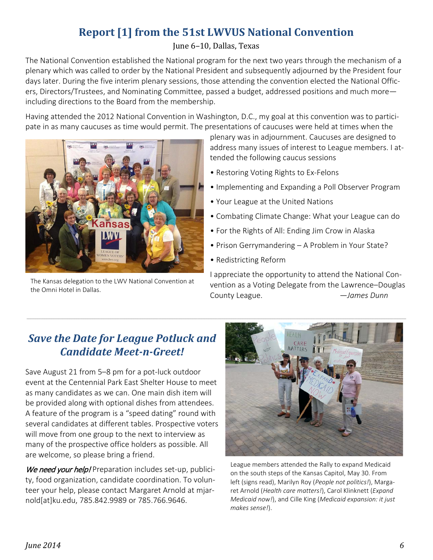### **Report [1] from the 51st LWVUS National Convention**

#### June 6–10, Dallas, Texas

The National Convention established the National program for the next two years through the mechanism of a plenary which was called to order by the National President and subsequently adjourned by the President four days later. During the five interim plenary sessions, those attending the convention elected the National Officers, Directors/Trustees, and Nominating Committee, passed a budget, addressed positions and much more including directions to the Board from the membership.

Having attended the 2012 National Convention in Washington, D.C., my goal at this convention was to participate in as many caucuses as time would permit. The presentations of caucuses were held at times when the



The Kansas delegation to the LWV National Convention at the Omni Hotel in Dallas.

plenary was in adjournment. Caucuses are designed to address many issues of interest to League members. I attended the following caucus sessions

- Restoring Voting Rights to Ex-Felons
- Implementing and Expanding a Poll Observer Program
- Your League at the United Nations
- Combating Climate Change: What your League can do
- For the Rights of All: Ending Jim Crow in Alaska
- Prison Gerrymandering A Problem in Your State?
- Redistricting Reform

I appreciate the opportunity to attend the National Convention as a Voting Delegate from the Lawrence–Douglas County League. *—James Dunn*

### *Save the Date for League Potluck and Candidate Meet-n-Greet!*

Save August 21 from 5–8 pm for a pot-luck outdoor event at the Centennial Park East Shelter House to meet as many candidates as we can. One main dish item will be provided along with optional dishes from attendees. A feature of the program is a "speed dating" round with several candidates at different tables. Prospective voters will move from one group to the next to interview as many of the prospective office holders as possible. All are welcome, so please bring a friend.

We need your help! Preparation includes set-up, publicity, food organization, candidate coordination. To volunteer your help, please contact Margaret Arnold at mjarnold[at]ku.edu, 785.842.9989 or 785.766.9646.



League members attended the Rally to expand Medicaid on the south steps of the Kansas Capitol, May 30. From left (signs read), Marilyn Roy (*People not politics!*), Margaret Arnold (*Health care matters!*), Carol Klinknett (*Expand Medicaid now!*), and Cille King (*Medicaid expansion: it just makes sense!*).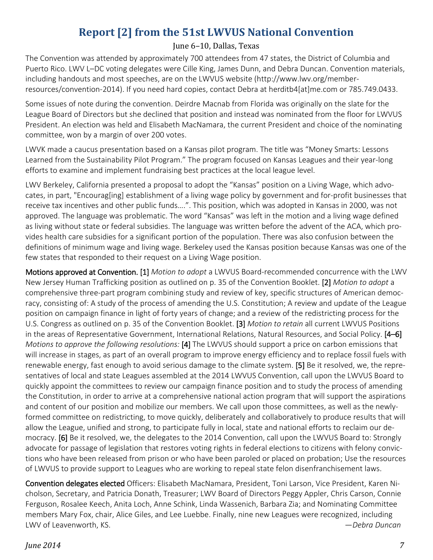### **Report [2] from the 51st LWVUS National Convention**

#### June 6–10, Dallas, Texas

The Convention was attended by approximately 700 attendees from 47 states, the District of Columbia and Puerto Rico. LWV L–DC voting delegates were Cille King, James Dunn, and Debra Duncan. Convention materials, including handouts and most speeches, are on the LWVUS website (http://www.lwv.org/memberresources/convention-2014). If you need hard copies, contact Debra at [herditb4\[at\]me.com](mailto:herditb4@me.com) or 785.749.0433.

Some issues of note during the convention. Deirdre Macnab from Florida was originally on the slate for the League Board of Directors but she declined that position and instead was nominated from the floor for LWVUS President. An election was held and Elisabeth MacNamara, the current President and choice of the nominating committee, won by a margin of over 200 votes.

LWVK made a caucus presentation based on a Kansas pilot program. The title was "Money Smarts: Lessons Learned from the Sustainability Pilot Program." The program focused on Kansas Leagues and their year-long efforts to examine and implement fundraising best practices at the local league level.

LWV Berkeley, California presented a proposal to adopt the "Kansas" position on a Living Wage, which advocates, in part, "Encourag[ing] establishment of a living wage policy by government and for-profit businesses that receive tax incentives and other public funds….". This position, which was adopted in Kansas in 2000, was not approved. The language was problematic. The word "Kansas" was left in the motion and a living wage defined as living without state or federal subsidies. The language was written before the advent of the ACA, which provides health care subsidies for a significant portion of the population. There was also confusion between the definitions of minimum wage and living wage. Berkeley used the Kansas position because Kansas was one of the few states that responded to their request on a Living Wage position.

Motions approved at Convention. [1] *Motion to adopt* a LWVUS Board-recommended concurrence with the LWV New Jersey Human Trafficking position as outlined on p. 35 of the Convention Booklet. [2] *Motion to adopt* a comprehensive three-part program combining study and review of key, specific structures of American democracy, consisting of: A study of the process of amending the U.S. Constitution; A review and update of the League position on campaign finance in light of forty years of change; and a review of the redistricting process for the U.S. Congress as outlined on p. 35 of the Convention Booklet. [3] *Motion to retain* all current LWVUS Positions in the areas of Representative Government, International Relations, Natural Resources, and Social Policy. [4–6] *Motions to approve the following resolutions:* [4] The LWVUS should support a price on carbon emissions that will increase in stages, as part of an overall program to improve energy efficiency and to replace fossil fuels with renewable energy, fast enough to avoid serious damage to the climate system. [5] Be it resolved, we, the representatives of local and state Leagues assembled at the 2014 LWVUS Convention, call upon the LWVUS Board to quickly appoint the committees to review our campaign finance position and to study the process of amending the Constitution, in order to arrive at a comprehensive national action program that will support the aspirations and content of our position and mobilize our members. We call upon those committees, as well as the newlyformed committee on redistricting, to move quickly, deliberately and collaboratively to produce results that will allow the League, unified and strong, to participate fully in local, state and national efforts to reclaim our democracy. [6] Be it resolved, we, the delegates to the 2014 Convention, call upon the LWVUS Board to: Strongly advocate for passage of legislation that restores voting rights in federal elections to citizens with felony convictions who have been released from prison or who have been paroled or placed on probation; Use the resources of LWVUS to provide support to Leagues who are working to repeal state felon disenfranchisement laws.

Convention delegates elected Officers: Elisabeth MacNamara, President, Toni Larson, Vice President, Karen Nicholson, Secretary, and Patricia Donath, Treasurer; LWV Board of Directors Peggy Appler, Chris Carson, Connie Ferguson, Rosalee Keech, Anita Loch, Anne Schink, Linda Wassenich, Barbara Zia; and Nominating Committee members Mary Fox, chair, Alice Giles, and Lee Luebbe. Finally, nine new Leagues were recognized, including LWV of Leavenworth, KS. —*Debra Duncan*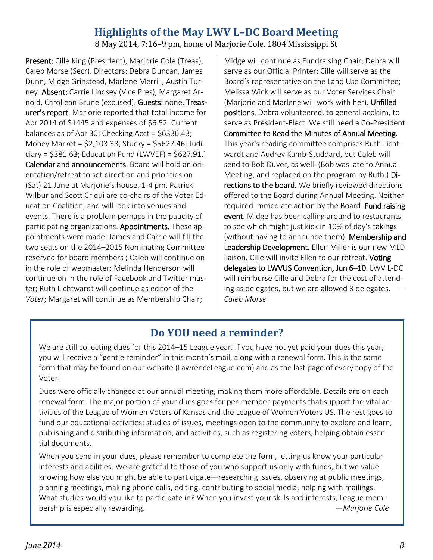### **Highlights of the May LWV L–DC Board Meeting**

8 May 2014, 7:16–9 pm, home of Marjorie Cole, 1804 Mississippi St

Present: Cille King (President), Marjorie Cole (Treas), Caleb Morse (Secr). Directors: Debra Duncan, James Dunn, Midge Grinstead, Marlene Merrill, Austin Turney. Absent: Carrie Lindsey (Vice Pres), Margaret Arnold, Caroljean Brune (excused). Guests: none. Treasurer's report. Marjorie reported that total income for Apr 2014 of \$1445 and expenses of \$6.52. Current balances as of Apr 30: Checking Acct = \$6336.43; Money Market = \$2,103.38; Stucky = \$5627.46; Judi $ciary = $381.63$ ; Education Fund (LWVEF) =  $$627.91$ . Calendar and announcements. Board will hold an orientation/retreat to set direction and priorities on (Sat) 21 June at Marjorie's house, 1-4 pm. Patrick Wilbur and Scott Criqui are co-chairs of the Voter Education Coalition, and will look into venues and events. There is a problem perhaps in the paucity of participating organizations. Appointments. These appointments were made: James and Carrie will fill the two seats on the 2014–2015 Nominating Committee reserved for board members ; Caleb will continue on in the role of webmaster; Melinda Henderson will continue on in the role of Facebook and Twitter master; Ruth Lichtwardt will continue as editor of the *Voter*; Margaret will continue as Membership Chair;

Midge will continue as Fundraising Chair; Debra will serve as our Official Printer; Cille will serve as the Board's representative on the Land Use Committee; Melissa Wick will serve as our Voter Services Chair (Mariorie and Marlene will work with her). Unfilled positions. Debra volunteered, to general acclaim, to serve as President-Elect. We still need a Co-President. Committee to Read the Minutes of Annual Meeting. This year's reading committee comprises Ruth Lichtwardt and Audrey Kamb-Studdard, but Caleb will send to Bob Duver, as well. (Bob was late to Annual Meeting, and replaced on the program by Ruth.) Directions to the board. We briefly reviewed directions offered to the Board during Annual Meeting. Neither required immediate action by the Board. Fund raising event. Midge has been calling around to restaurants to see which might just kick in 10% of day's takings (without having to announce them). Membership and Leadership Development. Ellen Miller is our new MLD liaison. Cille will invite Ellen to our retreat. Voting delegates to LWVUS Convention, Jun 6–10. LWV L-DC will reimburse Cille and Debra for the cost of attending as delegates, but we are allowed 3 delegates.  $-$ *Caleb Morse*

### **Do YOU need a reminder?**

We are still collecting dues for this 2014–15 League year. If you have not yet paid your dues this year, you will receive a "gentle reminder" in this month's mail, along with a renewal form. This is the same form that may be found on our website (LawrenceLeague.com) and as the last page of every copy of the Voter.

Dues were officially changed at our annual meeting, making them more affordable. Details are on each renewal form. The major portion of your dues goes for per-member-payments that support the vital activities of the League of Women Voters of Kansas and the League of Women Voters US. The rest goes to fund our educational activities: studies of issues, meetings open to the community to explore and learn, publishing and distributing information, and activities, such as registering voters, helping obtain essential documents.

When you send in your dues, please remember to complete the form, letting us know your particular interests and abilities. We are grateful to those of you who support us only with funds, but we value knowing how else you might be able to participate—researching issues, observing at public meetings, planning meetings, making phone calls, editing, contributing to social media, helping with mailings. What studies would you like to participate in? When you invest your skills and interests, League membership is especially rewarding. —*Marjorie Cole*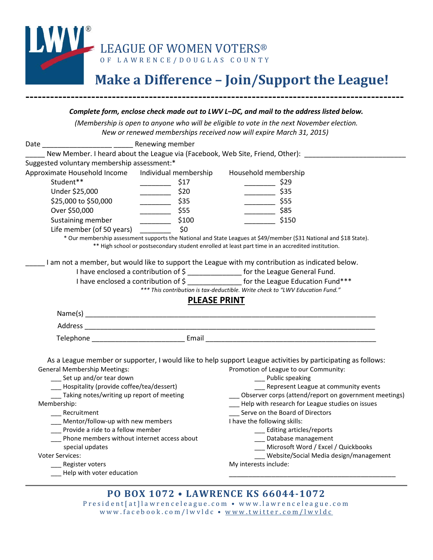

# **Make a Difference – Join/Support the League!**

|                                                                                                                                                                                                                                                                     | Complete form, enclose check made out to LWV L-DC, and mail to the address listed below.                                                                                                                                |
|---------------------------------------------------------------------------------------------------------------------------------------------------------------------------------------------------------------------------------------------------------------------|-------------------------------------------------------------------------------------------------------------------------------------------------------------------------------------------------------------------------|
|                                                                                                                                                                                                                                                                     | (Membership is open to anyone who will be eligible to vote in the next November election.<br>New or renewed memberships received now will expire March 31, 2015)                                                        |
|                                                                                                                                                                                                                                                                     |                                                                                                                                                                                                                         |
|                                                                                                                                                                                                                                                                     |                                                                                                                                                                                                                         |
|                                                                                                                                                                                                                                                                     | New Member. I heard about the League via (Facebook, Web Site, Friend, Other): _______________                                                                                                                           |
| Suggested voluntary membership assessment:*                                                                                                                                                                                                                         |                                                                                                                                                                                                                         |
| Approximate Household Income  Individual membership                                                                                                                                                                                                                 | Household membership                                                                                                                                                                                                    |
| Student**<br>$\begin{array}{c} \begin{array}{c} \begin{array}{c} \begin{array}{c} \end{array} \\ \end{array} \end{array} \end{array} \end{array} \end{array} \end{array} \begin{array}{c} \begin{array}{c} \begin{array}{c} \end{array} \\ \end{array} \end{array}$ | \$17<br>$\sim$ \$29                                                                                                                                                                                                     |
| Under \$25,000<br>$\frac{\sim}{\sim}$ \$20                                                                                                                                                                                                                          | $\frac{1}{2}$ \$35                                                                                                                                                                                                      |
| $\frac{1}{2}$ \$35<br>\$25,000 to \$50,000                                                                                                                                                                                                                          | $\frac{1}{2}$ \$55                                                                                                                                                                                                      |
| Over \$50,000<br>$\frac{1}{2}$ \$55                                                                                                                                                                                                                                 | $\frac{1}{2}$ \$85                                                                                                                                                                                                      |
| Sustaining member<br>$\frac{1}{2}$ \$100                                                                                                                                                                                                                            | \$150                                                                                                                                                                                                                   |
| Life member (of 50 years)                                                                                                                                                                                                                                           | \$0                                                                                                                                                                                                                     |
|                                                                                                                                                                                                                                                                     | * Our membership assessment supports the National and State Leagues at \$49/member (\$31 National and \$18 State).<br>** High school or postsecondary student enrolled at least part time in an accredited institution. |
|                                                                                                                                                                                                                                                                     |                                                                                                                                                                                                                         |
|                                                                                                                                                                                                                                                                     | I am not a member, but would like to support the League with my contribution as indicated below.                                                                                                                        |
|                                                                                                                                                                                                                                                                     | I have enclosed a contribution of \$ ________________ for the League General Fund.                                                                                                                                      |
|                                                                                                                                                                                                                                                                     |                                                                                                                                                                                                                         |
|                                                                                                                                                                                                                                                                     |                                                                                                                                                                                                                         |
|                                                                                                                                                                                                                                                                     | I have enclosed a contribution of \$ _______________ for the League Education Fund***<br>*** This contribution is tax-deductible. Write check to "LWV Education Fund."                                                  |
|                                                                                                                                                                                                                                                                     | <b>PLEASE PRINT</b>                                                                                                                                                                                                     |
|                                                                                                                                                                                                                                                                     |                                                                                                                                                                                                                         |
|                                                                                                                                                                                                                                                                     |                                                                                                                                                                                                                         |
|                                                                                                                                                                                                                                                                     |                                                                                                                                                                                                                         |
|                                                                                                                                                                                                                                                                     |                                                                                                                                                                                                                         |
|                                                                                                                                                                                                                                                                     |                                                                                                                                                                                                                         |
|                                                                                                                                                                                                                                                                     | As a League member or supporter, I would like to help support League activities by participating as follows:                                                                                                            |
| <b>General Membership Meetings:</b>                                                                                                                                                                                                                                 | Promotion of League to our Community:                                                                                                                                                                                   |
| ___ Set up and/or tear down                                                                                                                                                                                                                                         | __ Public speaking                                                                                                                                                                                                      |
| ___ Hospitality (provide coffee/tea/dessert)                                                                                                                                                                                                                        | ___ Represent League at community events                                                                                                                                                                                |
| __ Taking notes/writing up report of meeting                                                                                                                                                                                                                        | Observer corps (attend/report on government meetings)                                                                                                                                                                   |
| Membership:<br>Recruitment                                                                                                                                                                                                                                          | Help with research for League studies on issues                                                                                                                                                                         |
| Mentor/follow-up with new members                                                                                                                                                                                                                                   | Serve on the Board of Directors<br>I have the following skills:                                                                                                                                                         |
| Provide a ride to a fellow member                                                                                                                                                                                                                                   | _ Editing articles/reports                                                                                                                                                                                              |
| Phone members without internet access about                                                                                                                                                                                                                         | Database management                                                                                                                                                                                                     |
| special updates                                                                                                                                                                                                                                                     | Microsoft Word / Excel / Quickbooks                                                                                                                                                                                     |
| <b>Voter Services:</b>                                                                                                                                                                                                                                              | Website/Social Media design/management                                                                                                                                                                                  |
| Register voters<br>Help with voter education                                                                                                                                                                                                                        | My interests include:                                                                                                                                                                                                   |

#### **PO BOX 1072 • LAWRENCE KS 66044-1072**

President [at] lawrenceleague.com • www.lawrenceleague.com www.facebook.com/lwvldc • [www.twitter.com/lwvldc](http://www.twitter.com/lwvldc)